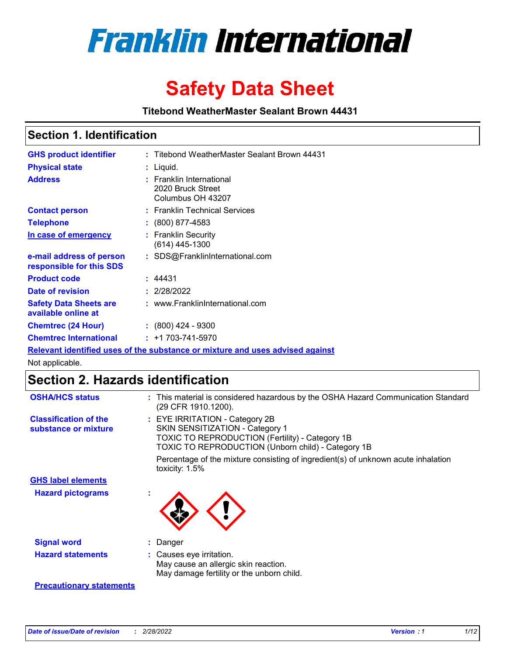

# **Safety Data Sheet**

**Titebond WeatherMaster Sealant Brown 44431**

### **Section 1. Identification**

| <b>GHS product identifier</b>                                                 |  | : Titebond WeatherMaster Sealant Brown 44431                       |  |  |  |
|-------------------------------------------------------------------------------|--|--------------------------------------------------------------------|--|--|--|
| <b>Physical state</b>                                                         |  | : Liquid.                                                          |  |  |  |
| <b>Address</b>                                                                |  | : Franklin International<br>2020 Bruck Street<br>Columbus OH 43207 |  |  |  |
| <b>Contact person</b>                                                         |  | : Franklin Technical Services                                      |  |  |  |
| <b>Telephone</b>                                                              |  | $\colon$ (800) 877-4583                                            |  |  |  |
| In case of emergency                                                          |  | : Franklin Security<br>$(614)$ 445-1300                            |  |  |  |
| e-mail address of person<br>responsible for this SDS                          |  | : SDS@FranklinInternational.com                                    |  |  |  |
| <b>Product code</b>                                                           |  | : 44431                                                            |  |  |  |
| Date of revision                                                              |  | : 2/28/2022                                                        |  |  |  |
| <b>Safety Data Sheets are</b><br>available online at                          |  | : www.FranklinInternational.com                                    |  |  |  |
| <b>Chemtrec (24 Hour)</b>                                                     |  | : (800) 424 - 9300                                                 |  |  |  |
| <b>Chemtrec International</b>                                                 |  | $: +1703 - 741 - 5970$                                             |  |  |  |
| Relevant identified uses of the substance or mixture and uses advised against |  |                                                                    |  |  |  |

Not applicable.

## **Section 2. Hazards identification**

| <b>OSHA/HCS status</b>                               | : This material is considered hazardous by the OSHA Hazard Communication Standard<br>(29 CFR 1910.1200).                                                                                 |
|------------------------------------------------------|------------------------------------------------------------------------------------------------------------------------------------------------------------------------------------------|
| <b>Classification of the</b><br>substance or mixture | : EYE IRRITATION - Category 2B<br>SKIN SENSITIZATION - Category 1<br><b>TOXIC TO REPRODUCTION (Fertility) - Category 1B</b><br><b>TOXIC TO REPRODUCTION (Unborn child) - Category 1B</b> |
|                                                      | Percentage of the mixture consisting of ingredient(s) of unknown acute inhalation<br>toxicity: $1.5\%$                                                                                   |
| <b>GHS label elements</b>                            |                                                                                                                                                                                          |
| <b>Hazard pictograms</b>                             |                                                                                                                                                                                          |
| <b>Signal word</b>                                   | : Danger                                                                                                                                                                                 |
| <b>Hazard statements</b>                             | : Causes eye irritation.<br>May cause an allergic skin reaction.<br>May damage fertility or the unborn child.                                                                            |
| <b>Precautionary statements</b>                      |                                                                                                                                                                                          |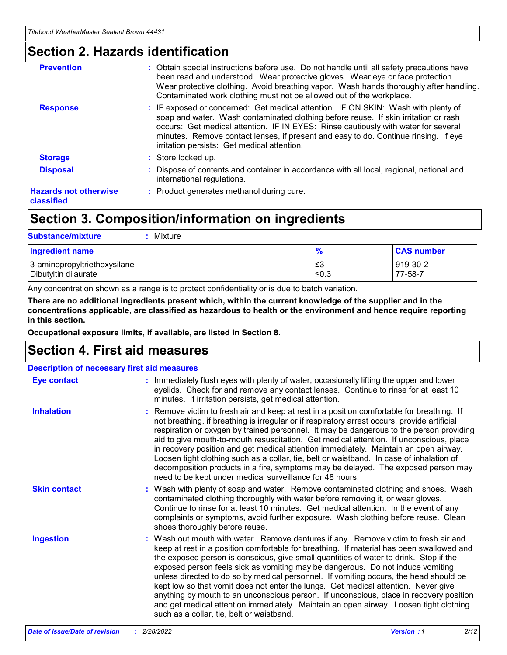### **Section 2. Hazards identification**

| <b>Prevention</b>                          | : Obtain special instructions before use. Do not handle until all safety precautions have<br>been read and understood. Wear protective gloves. Wear eye or face protection.<br>Wear protective clothing. Avoid breathing vapor. Wash hands thoroughly after handling.<br>Contaminated work clothing must not be allowed out of the workplace.                                                        |
|--------------------------------------------|------------------------------------------------------------------------------------------------------------------------------------------------------------------------------------------------------------------------------------------------------------------------------------------------------------------------------------------------------------------------------------------------------|
| <b>Response</b>                            | : IF exposed or concerned: Get medical attention. IF ON SKIN: Wash with plenty of<br>soap and water. Wash contaminated clothing before reuse. If skin irritation or rash<br>occurs: Get medical attention. IF IN EYES: Rinse cautiously with water for several<br>minutes. Remove contact lenses, if present and easy to do. Continue rinsing. If eye<br>irritation persists: Get medical attention. |
| <b>Storage</b>                             | : Store locked up.                                                                                                                                                                                                                                                                                                                                                                                   |
| <b>Disposal</b>                            | : Dispose of contents and container in accordance with all local, regional, national and<br>international regulations.                                                                                                                                                                                                                                                                               |
| <b>Hazards not otherwise</b><br>classified | : Product generates methanol during cure.                                                                                                                                                                                                                                                                                                                                                            |
|                                            |                                                                                                                                                                                                                                                                                                                                                                                                      |

### **Section 3. Composition/information on ingredients**

| <b>Substance/mixture</b><br>Mixture                  |               |                     |
|------------------------------------------------------|---------------|---------------------|
| <b>Ingredient name</b>                               | $\frac{9}{6}$ | <b>CAS number</b>   |
| 3-aminopropyltriethoxysilane<br>Dibutyltin dilaurate | ≤3<br>≤0.3    | 919-30-2<br>77-58-7 |

Any concentration shown as a range is to protect confidentiality or is due to batch variation.

**There are no additional ingredients present which, within the current knowledge of the supplier and in the concentrations applicable, are classified as hazardous to health or the environment and hence require reporting in this section.**

**Occupational exposure limits, if available, are listed in Section 8.**

### **Section 4. First aid measures**

| <b>Description of necessary first aid measures</b> |                                                                                                                                                                                                                                                                                                                                                                                                                                                                                                                                                                                                                                                                                                                                                                           |  |  |  |
|----------------------------------------------------|---------------------------------------------------------------------------------------------------------------------------------------------------------------------------------------------------------------------------------------------------------------------------------------------------------------------------------------------------------------------------------------------------------------------------------------------------------------------------------------------------------------------------------------------------------------------------------------------------------------------------------------------------------------------------------------------------------------------------------------------------------------------------|--|--|--|
| <b>Eye contact</b>                                 | : Immediately flush eyes with plenty of water, occasionally lifting the upper and lower<br>eyelids. Check for and remove any contact lenses. Continue to rinse for at least 10<br>minutes. If irritation persists, get medical attention.                                                                                                                                                                                                                                                                                                                                                                                                                                                                                                                                 |  |  |  |
| <b>Inhalation</b>                                  | : Remove victim to fresh air and keep at rest in a position comfortable for breathing. If<br>not breathing, if breathing is irregular or if respiratory arrest occurs, provide artificial<br>respiration or oxygen by trained personnel. It may be dangerous to the person providing<br>aid to give mouth-to-mouth resuscitation. Get medical attention. If unconscious, place<br>in recovery position and get medical attention immediately. Maintain an open airway.<br>Loosen tight clothing such as a collar, tie, belt or waistband. In case of inhalation of<br>decomposition products in a fire, symptoms may be delayed. The exposed person may<br>need to be kept under medical surveillance for 48 hours.                                                       |  |  |  |
| <b>Skin contact</b>                                | : Wash with plenty of soap and water. Remove contaminated clothing and shoes. Wash<br>contaminated clothing thoroughly with water before removing it, or wear gloves.<br>Continue to rinse for at least 10 minutes. Get medical attention. In the event of any<br>complaints or symptoms, avoid further exposure. Wash clothing before reuse. Clean<br>shoes thoroughly before reuse.                                                                                                                                                                                                                                                                                                                                                                                     |  |  |  |
| <b>Ingestion</b>                                   | : Wash out mouth with water. Remove dentures if any. Remove victim to fresh air and<br>keep at rest in a position comfortable for breathing. If material has been swallowed and<br>the exposed person is conscious, give small quantities of water to drink. Stop if the<br>exposed person feels sick as vomiting may be dangerous. Do not induce vomiting<br>unless directed to do so by medical personnel. If vomiting occurs, the head should be<br>kept low so that vomit does not enter the lungs. Get medical attention. Never give<br>anything by mouth to an unconscious person. If unconscious, place in recovery position<br>and get medical attention immediately. Maintain an open airway. Loosen tight clothing<br>such as a collar, tie, belt or waistband. |  |  |  |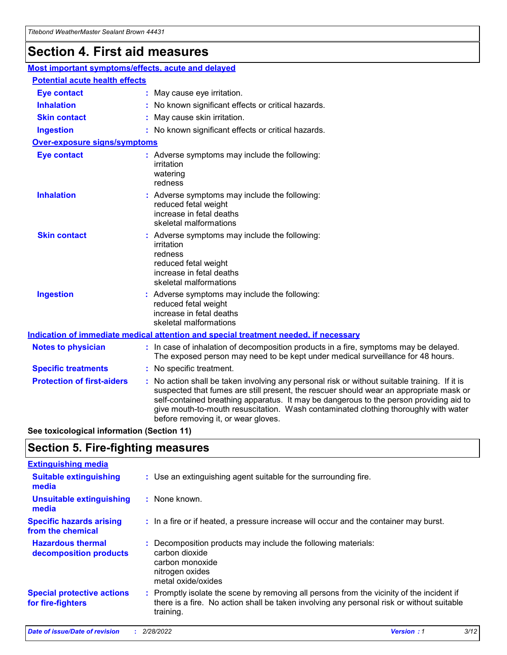## **Section 4. First aid measures**

| Most important symptoms/effects, acute and delayed |  |                                                                                                                                                                                                                                                                                                                                                                                                                 |  |
|----------------------------------------------------|--|-----------------------------------------------------------------------------------------------------------------------------------------------------------------------------------------------------------------------------------------------------------------------------------------------------------------------------------------------------------------------------------------------------------------|--|
| <b>Potential acute health effects</b>              |  |                                                                                                                                                                                                                                                                                                                                                                                                                 |  |
| <b>Eye contact</b>                                 |  | : May cause eye irritation.                                                                                                                                                                                                                                                                                                                                                                                     |  |
| <b>Inhalation</b>                                  |  | : No known significant effects or critical hazards.                                                                                                                                                                                                                                                                                                                                                             |  |
| <b>Skin contact</b>                                |  | : May cause skin irritation.                                                                                                                                                                                                                                                                                                                                                                                    |  |
| <b>Ingestion</b>                                   |  | : No known significant effects or critical hazards.                                                                                                                                                                                                                                                                                                                                                             |  |
| <b>Over-exposure signs/symptoms</b>                |  |                                                                                                                                                                                                                                                                                                                                                                                                                 |  |
| <b>Eye contact</b>                                 |  | : Adverse symptoms may include the following:<br>irritation<br>watering<br>redness                                                                                                                                                                                                                                                                                                                              |  |
| <b>Inhalation</b>                                  |  | : Adverse symptoms may include the following:<br>reduced fetal weight<br>increase in fetal deaths<br>skeletal malformations                                                                                                                                                                                                                                                                                     |  |
| <b>Skin contact</b>                                |  | : Adverse symptoms may include the following:<br>irritation<br>redness<br>reduced fetal weight<br>increase in fetal deaths<br>skeletal malformations                                                                                                                                                                                                                                                            |  |
| <b>Ingestion</b>                                   |  | : Adverse symptoms may include the following:<br>reduced fetal weight<br>increase in fetal deaths<br>skeletal malformations                                                                                                                                                                                                                                                                                     |  |
|                                                    |  | <b>Indication of immediate medical attention and special treatment needed, if necessary</b>                                                                                                                                                                                                                                                                                                                     |  |
| <b>Notes to physician</b>                          |  | : In case of inhalation of decomposition products in a fire, symptoms may be delayed.<br>The exposed person may need to be kept under medical surveillance for 48 hours.                                                                                                                                                                                                                                        |  |
| <b>Specific treatments</b>                         |  | : No specific treatment.                                                                                                                                                                                                                                                                                                                                                                                        |  |
| <b>Protection of first-aiders</b>                  |  | : No action shall be taken involving any personal risk or without suitable training. If it is<br>suspected that fumes are still present, the rescuer should wear an appropriate mask or<br>self-contained breathing apparatus. It may be dangerous to the person providing aid to<br>give mouth-to-mouth resuscitation. Wash contaminated clothing thoroughly with water<br>before removing it, or wear gloves. |  |

**See toxicological information (Section 11)**

### **Section 5. Fire-fighting measures**

| <b>Extinguishing media</b>                             |                                                                                                                                                                                                     |
|--------------------------------------------------------|-----------------------------------------------------------------------------------------------------------------------------------------------------------------------------------------------------|
| <b>Suitable extinguishing</b><br>media                 | : Use an extinguishing agent suitable for the surrounding fire.                                                                                                                                     |
| <b>Unsuitable extinguishing</b><br>media               | : None known.                                                                                                                                                                                       |
| <b>Specific hazards arising</b><br>from the chemical   | : In a fire or if heated, a pressure increase will occur and the container may burst.                                                                                                               |
| <b>Hazardous thermal</b><br>decomposition products     | : Decomposition products may include the following materials:<br>carbon dioxide<br>carbon monoxide<br>nitrogen oxides<br>metal oxide/oxides                                                         |
| <b>Special protective actions</b><br>for fire-fighters | : Promptly isolate the scene by removing all persons from the vicinity of the incident if<br>there is a fire. No action shall be taken involving any personal risk or without suitable<br>training. |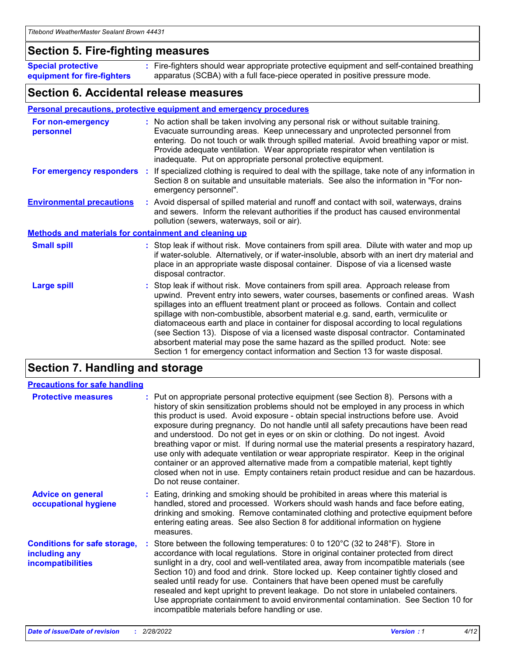### **Section 5. Fire-fighting measures**

**Special protective equipment for fire-fighters** Fire-fighters should wear appropriate protective equipment and self-contained breathing **:** apparatus (SCBA) with a full face-piece operated in positive pressure mode.

### **Section 6. Accidental release measures**

#### **Personal precautions, protective equipment and emergency procedures**

| For non-emergency<br>personnel                               |  | : No action shall be taken involving any personal risk or without suitable training.<br>Evacuate surrounding areas. Keep unnecessary and unprotected personnel from<br>entering. Do not touch or walk through spilled material. Avoid breathing vapor or mist.<br>Provide adequate ventilation. Wear appropriate respirator when ventilation is<br>inadequate. Put on appropriate personal protective equipment.                                                                                                                                                                                                                                                                                             |  |  |
|--------------------------------------------------------------|--|--------------------------------------------------------------------------------------------------------------------------------------------------------------------------------------------------------------------------------------------------------------------------------------------------------------------------------------------------------------------------------------------------------------------------------------------------------------------------------------------------------------------------------------------------------------------------------------------------------------------------------------------------------------------------------------------------------------|--|--|
| For emergency responders                                     |  | : If specialized clothing is required to deal with the spillage, take note of any information in<br>Section 8 on suitable and unsuitable materials. See also the information in "For non-<br>emergency personnel".                                                                                                                                                                                                                                                                                                                                                                                                                                                                                           |  |  |
| <b>Environmental precautions</b>                             |  | : Avoid dispersal of spilled material and runoff and contact with soil, waterways, drains<br>and sewers. Inform the relevant authorities if the product has caused environmental<br>pollution (sewers, waterways, soil or air).                                                                                                                                                                                                                                                                                                                                                                                                                                                                              |  |  |
| <b>Methods and materials for containment and cleaning up</b> |  |                                                                                                                                                                                                                                                                                                                                                                                                                                                                                                                                                                                                                                                                                                              |  |  |
| <b>Small spill</b>                                           |  | : Stop leak if without risk. Move containers from spill area. Dilute with water and mop up<br>if water-soluble. Alternatively, or if water-insoluble, absorb with an inert dry material and<br>place in an appropriate waste disposal container. Dispose of via a licensed waste<br>disposal contractor.                                                                                                                                                                                                                                                                                                                                                                                                     |  |  |
| <b>Large spill</b>                                           |  | : Stop leak if without risk. Move containers from spill area. Approach release from<br>upwind. Prevent entry into sewers, water courses, basements or confined areas. Wash<br>spillages into an effluent treatment plant or proceed as follows. Contain and collect<br>spillage with non-combustible, absorbent material e.g. sand, earth, vermiculite or<br>diatomaceous earth and place in container for disposal according to local regulations<br>(see Section 13). Dispose of via a licensed waste disposal contractor. Contaminated<br>absorbent material may pose the same hazard as the spilled product. Note: see<br>Section 1 for emergency contact information and Section 13 for waste disposal. |  |  |

### **Section 7. Handling and storage**

| <b>Precautions for safe handling</b>                                             |                                                                                                                                                                                                                                                                                                                                                                                                                                                                                                                                                                                                                                                                                                                                                                                                                                                  |
|----------------------------------------------------------------------------------|--------------------------------------------------------------------------------------------------------------------------------------------------------------------------------------------------------------------------------------------------------------------------------------------------------------------------------------------------------------------------------------------------------------------------------------------------------------------------------------------------------------------------------------------------------------------------------------------------------------------------------------------------------------------------------------------------------------------------------------------------------------------------------------------------------------------------------------------------|
| <b>Protective measures</b>                                                       | : Put on appropriate personal protective equipment (see Section 8). Persons with a<br>history of skin sensitization problems should not be employed in any process in which<br>this product is used. Avoid exposure - obtain special instructions before use. Avoid<br>exposure during pregnancy. Do not handle until all safety precautions have been read<br>and understood. Do not get in eyes or on skin or clothing. Do not ingest. Avoid<br>breathing vapor or mist. If during normal use the material presents a respiratory hazard,<br>use only with adequate ventilation or wear appropriate respirator. Keep in the original<br>container or an approved alternative made from a compatible material, kept tightly<br>closed when not in use. Empty containers retain product residue and can be hazardous.<br>Do not reuse container. |
| <b>Advice on general</b><br>occupational hygiene                                 | : Eating, drinking and smoking should be prohibited in areas where this material is<br>handled, stored and processed. Workers should wash hands and face before eating,<br>drinking and smoking. Remove contaminated clothing and protective equipment before<br>entering eating areas. See also Section 8 for additional information on hygiene<br>measures.                                                                                                                                                                                                                                                                                                                                                                                                                                                                                    |
| <b>Conditions for safe storage,</b><br>including any<br><b>incompatibilities</b> | Store between the following temperatures: 0 to 120 $\degree$ C (32 to 248 $\degree$ F). Store in<br>accordance with local regulations. Store in original container protected from direct<br>sunlight in a dry, cool and well-ventilated area, away from incompatible materials (see<br>Section 10) and food and drink. Store locked up. Keep container tightly closed and<br>sealed until ready for use. Containers that have been opened must be carefully<br>resealed and kept upright to prevent leakage. Do not store in unlabeled containers.<br>Use appropriate containment to avoid environmental contamination. See Section 10 for<br>incompatible materials before handling or use.                                                                                                                                                     |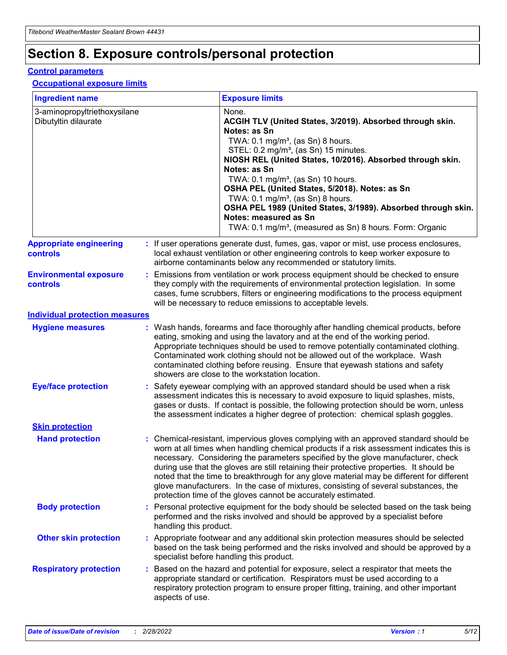## **Section 8. Exposure controls/personal protection**

#### **Control parameters**

#### **Occupational exposure limits**

| <b>Ingredient name</b>                               |    |                                          | <b>Exposure limits</b>                                                                                                                                                                                                                                                                                                                                                                                                                                                                                                                                                                                                 |
|------------------------------------------------------|----|------------------------------------------|------------------------------------------------------------------------------------------------------------------------------------------------------------------------------------------------------------------------------------------------------------------------------------------------------------------------------------------------------------------------------------------------------------------------------------------------------------------------------------------------------------------------------------------------------------------------------------------------------------------------|
| 3-aminopropyltriethoxysilane<br>Dibutyltin dilaurate |    |                                          | None.<br>ACGIH TLV (United States, 3/2019). Absorbed through skin.<br>Notes: as Sn<br>TWA: 0.1 mg/m <sup>3</sup> , (as Sn) 8 hours.<br>STEL: 0.2 mg/m <sup>3</sup> , (as Sn) 15 minutes.<br>NIOSH REL (United States, 10/2016). Absorbed through skin.<br>Notes: as Sn<br>TWA: 0.1 mg/m <sup>3</sup> , (as Sn) 10 hours.<br>OSHA PEL (United States, 5/2018). Notes: as Sn<br>TWA: $0.1 \text{ mg/m}^3$ , (as Sn) 8 hours.<br>OSHA PEL 1989 (United States, 3/1989). Absorbed through skin.<br>Notes: measured as Sn<br>TWA: 0.1 mg/m <sup>3</sup> , (measured as Sn) 8 hours. Form: Organic                           |
| <b>Appropriate engineering</b><br>controls           |    |                                          | : If user operations generate dust, fumes, gas, vapor or mist, use process enclosures,<br>local exhaust ventilation or other engineering controls to keep worker exposure to<br>airborne contaminants below any recommended or statutory limits.                                                                                                                                                                                                                                                                                                                                                                       |
| <b>Environmental exposure</b><br><b>controls</b>     |    |                                          | Emissions from ventilation or work process equipment should be checked to ensure<br>they comply with the requirements of environmental protection legislation. In some<br>cases, fume scrubbers, filters or engineering modifications to the process equipment<br>will be necessary to reduce emissions to acceptable levels.                                                                                                                                                                                                                                                                                          |
| <b>Individual protection measures</b>                |    |                                          |                                                                                                                                                                                                                                                                                                                                                                                                                                                                                                                                                                                                                        |
| <b>Hygiene measures</b>                              |    |                                          | : Wash hands, forearms and face thoroughly after handling chemical products, before<br>eating, smoking and using the lavatory and at the end of the working period.<br>Appropriate techniques should be used to remove potentially contaminated clothing.<br>Contaminated work clothing should not be allowed out of the workplace. Wash<br>contaminated clothing before reusing. Ensure that eyewash stations and safety<br>showers are close to the workstation location.                                                                                                                                            |
| <b>Eye/face protection</b>                           |    |                                          | : Safety eyewear complying with an approved standard should be used when a risk<br>assessment indicates this is necessary to avoid exposure to liquid splashes, mists,<br>gases or dusts. If contact is possible, the following protection should be worn, unless<br>the assessment indicates a higher degree of protection: chemical splash goggles.                                                                                                                                                                                                                                                                  |
| <b>Skin protection</b>                               |    |                                          |                                                                                                                                                                                                                                                                                                                                                                                                                                                                                                                                                                                                                        |
| <b>Hand protection</b>                               |    |                                          | : Chemical-resistant, impervious gloves complying with an approved standard should be<br>worn at all times when handling chemical products if a risk assessment indicates this is<br>necessary. Considering the parameters specified by the glove manufacturer, check<br>during use that the gloves are still retaining their protective properties. It should be<br>noted that the time to breakthrough for any glove material may be different for different<br>glove manufacturers. In the case of mixtures, consisting of several substances, the<br>protection time of the gloves cannot be accurately estimated. |
| <b>Body protection</b>                               |    | handling this product.                   | Personal protective equipment for the body should be selected based on the task being<br>performed and the risks involved and should be approved by a specialist before                                                                                                                                                                                                                                                                                                                                                                                                                                                |
| <b>Other skin protection</b>                         |    | specialist before handling this product. | : Appropriate footwear and any additional skin protection measures should be selected<br>based on the task being performed and the risks involved and should be approved by a                                                                                                                                                                                                                                                                                                                                                                                                                                          |
| <b>Respiratory protection</b>                        | ÷. | aspects of use.                          | Based on the hazard and potential for exposure, select a respirator that meets the<br>appropriate standard or certification. Respirators must be used according to a<br>respiratory protection program to ensure proper fitting, training, and other important                                                                                                                                                                                                                                                                                                                                                         |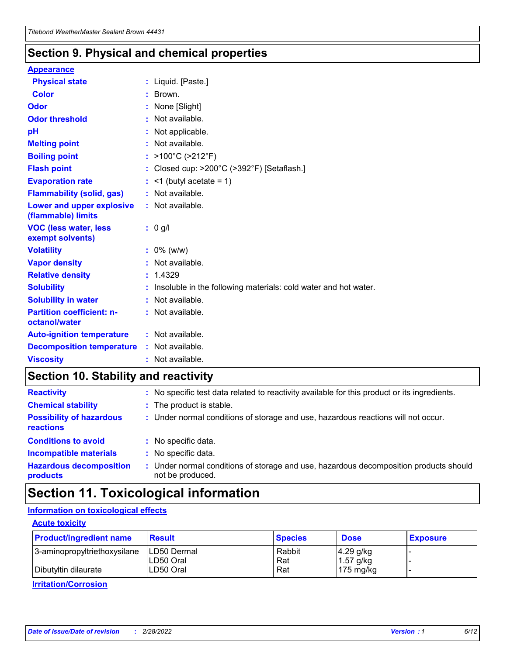### **Section 9. Physical and chemical properties**

#### **Appearance**

| <b>Physical state</b>                                  | : Liquid. [Paste.]                                              |
|--------------------------------------------------------|-----------------------------------------------------------------|
| <b>Color</b>                                           | Brown.                                                          |
| Odor                                                   | None [Slight]                                                   |
| <b>Odor threshold</b>                                  | $:$ Not available.                                              |
| рH                                                     | : Not applicable.                                               |
| <b>Melting point</b>                                   | : Not available.                                                |
| <b>Boiling point</b>                                   | : >100°C (>212°F)                                               |
| <b>Flash point</b>                                     | : Closed cup: $>200^{\circ}$ C ( $>392^{\circ}$ F) [Setaflash.] |
| <b>Evaporation rate</b>                                | $:$ <1 (butyl acetate = 1)                                      |
| <b>Flammability (solid, gas)</b>                       | : Not available.                                                |
| <b>Lower and upper explosive</b><br>(flammable) limits | : Not available.                                                |
|                                                        | : 0 g/l                                                         |
| <b>VOC (less water, less</b><br>exempt solvents)       |                                                                 |
| <b>Volatility</b>                                      | $: 0\%$ (w/w)                                                   |
| <b>Vapor density</b>                                   | : Not available.                                                |
| <b>Relative density</b>                                | : 1.4329                                                        |
| <b>Solubility</b>                                      | Insoluble in the following materials: cold water and hot water. |
| <b>Solubility in water</b>                             | $:$ Not available.                                              |
| <b>Partition coefficient: n-</b><br>octanol/water      | $:$ Not available.                                              |
| <b>Auto-ignition temperature</b>                       | : Not available.                                                |
| <b>Decomposition temperature</b>                       | : Not available.                                                |

### **Section 10. Stability and reactivity**

| <b>Reactivity</b>                            | : No specific test data related to reactivity available for this product or its ingredients.            |
|----------------------------------------------|---------------------------------------------------------------------------------------------------------|
| <b>Chemical stability</b>                    | : The product is stable.                                                                                |
| <b>Possibility of hazardous</b><br>reactions | : Under normal conditions of storage and use, hazardous reactions will not occur.                       |
| <b>Conditions to avoid</b>                   | : No specific data.                                                                                     |
| <b>Incompatible materials</b>                | : No specific data.                                                                                     |
| <b>Hazardous decomposition</b><br>products   | Under normal conditions of storage and use, hazardous decomposition products should<br>not be produced. |

### **Section 11. Toxicological information**

### **Information on toxicological effects**

#### **Acute toxicity**

| <b>Product/ingredient name</b> | <b>Result</b>           | <b>Species</b> | <b>Dose</b>                | <b>Exposure</b> |
|--------------------------------|-------------------------|----------------|----------------------------|-----------------|
| 3-aminopropyltriethoxysilane   | <b>ILD50 Dermal</b>     | Rabbit         | 4.29 g/kg                  |                 |
| Dibutyltin dilaurate           | ILD50 Oral<br>LD50 Oral | Rat<br>Rat     | $1.57$ g/kg<br>175 $mg/kg$ |                 |
|                                |                         |                |                            |                 |

**Irritation/Corrosion**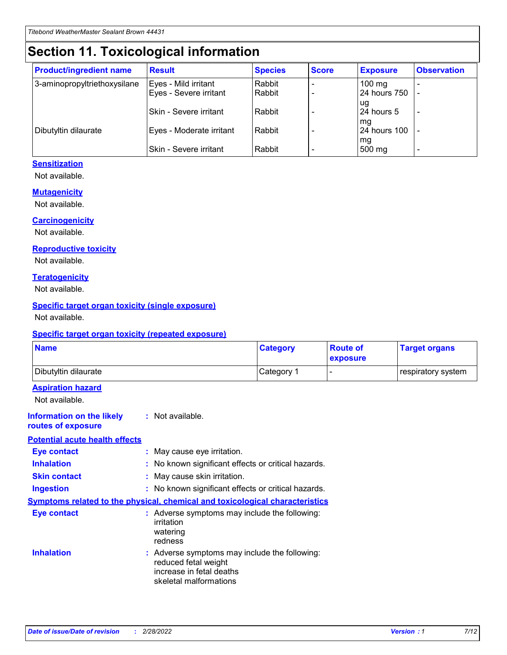## **Section 11. Toxicological information**

| <b>Product/ingredient name</b> | <b>Result</b>            | <b>Species</b> | <b>Score</b> | <b>Exposure</b>           | <b>Observation</b> |
|--------------------------------|--------------------------|----------------|--------------|---------------------------|--------------------|
| 3-aminopropyltriethoxysilane   | Eyes - Mild irritant     | Rabbit         |              | $100$ mg                  |                    |
|                                | Eyes - Severe irritant   | Rabbit         |              | 24 hours 750              |                    |
|                                |                          |                |              | ug                        |                    |
|                                | Skin - Severe irritant   | Rabbit         |              | 24 hours 5                | -                  |
| Dibutyltin dilaurate           | Eyes - Moderate irritant | Rabbit         |              | mq<br><b>24 hours 100</b> |                    |
|                                |                          |                |              | mg                        |                    |
|                                | Skin - Severe irritant   | Rabbit         |              | 500 mg                    |                    |

#### **Sensitization**

Not available.

#### **Mutagenicity**

Not available.

#### **Carcinogenicity**

Not available.

#### **Reproductive toxicity**

Not available.

#### **Teratogenicity**

Not available.

#### **Specific target organ toxicity (single exposure)**

Not available.

#### **Specific target organ toxicity (repeated exposure)**

| <b>Name</b>                                                                         |                                                                            | <b>Category</b>                                     | <b>Route of</b><br>exposure | <b>Target organs</b> |
|-------------------------------------------------------------------------------------|----------------------------------------------------------------------------|-----------------------------------------------------|-----------------------------|----------------------|
| Dibutyltin dilaurate                                                                |                                                                            | Category 1                                          |                             | respiratory system   |
| <b>Aspiration hazard</b><br>Not available.                                          |                                                                            |                                                     |                             |                      |
| <b>Information on the likely</b><br>routes of exposure                              | : Not available.                                                           |                                                     |                             |                      |
| <b>Potential acute health effects</b>                                               |                                                                            |                                                     |                             |                      |
| <b>Eye contact</b>                                                                  | : May cause eye irritation.                                                |                                                     |                             |                      |
| <b>Inhalation</b>                                                                   |                                                                            | : No known significant effects or critical hazards. |                             |                      |
| <b>Skin contact</b>                                                                 | : May cause skin irritation.                                               |                                                     |                             |                      |
| <b>Ingestion</b>                                                                    |                                                                            | : No known significant effects or critical hazards. |                             |                      |
| <b>Symptoms related to the physical, chemical and toxicological characteristics</b> |                                                                            |                                                     |                             |                      |
| <b>Eye contact</b>                                                                  | irritation<br>watering<br>redness                                          | : Adverse symptoms may include the following:       |                             |                      |
| <b>Inhalation</b>                                                                   | reduced fetal weight<br>increase in fetal deaths<br>skeletal malformations | : Adverse symptoms may include the following:       |                             |                      |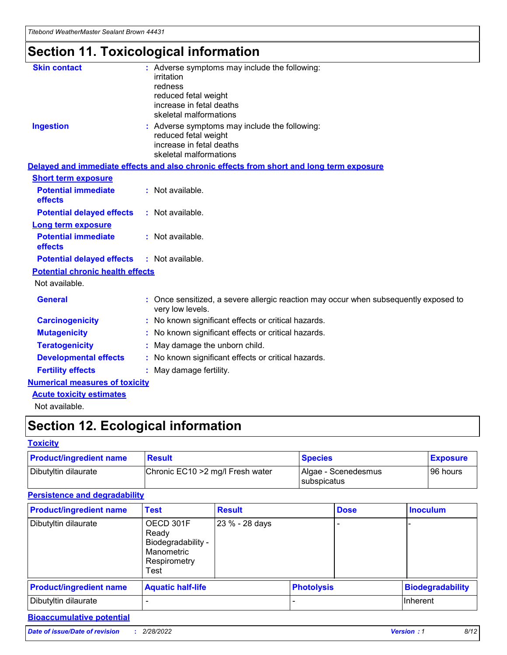## **Section 11. Toxicological information**

| <b>Skin contact</b>                     | : Adverse symptoms may include the following:<br>irritation<br>redness<br>reduced fetal weight<br>increase in fetal deaths<br>skeletal malformations |
|-----------------------------------------|------------------------------------------------------------------------------------------------------------------------------------------------------|
| <b>Ingestion</b>                        | : Adverse symptoms may include the following:<br>reduced fetal weight<br>increase in fetal deaths<br>skeletal malformations                          |
|                                         | Delayed and immediate effects and also chronic effects from short and long term exposure                                                             |
| <b>Short term exposure</b>              |                                                                                                                                                      |
| <b>Potential immediate</b><br>effects   | : Not available.                                                                                                                                     |
| <b>Potential delayed effects</b>        | : Not available.                                                                                                                                     |
| <b>Long term exposure</b>               |                                                                                                                                                      |
| <b>Potential immediate</b><br>effects   | : Not available.                                                                                                                                     |
| <b>Potential delayed effects</b>        | : Not available.                                                                                                                                     |
| <b>Potential chronic health effects</b> |                                                                                                                                                      |
| Not available.                          |                                                                                                                                                      |
| <b>General</b>                          | : Once sensitized, a severe allergic reaction may occur when subsequently exposed to<br>very low levels.                                             |
| <b>Carcinogenicity</b>                  | : No known significant effects or critical hazards.                                                                                                  |
| <b>Mutagenicity</b>                     | No known significant effects or critical hazards.                                                                                                    |
| <b>Teratogenicity</b>                   | May damage the unborn child.                                                                                                                         |
| <b>Developmental effects</b>            | No known significant effects or critical hazards.                                                                                                    |
| <b>Fertility effects</b>                | : May damage fertility.                                                                                                                              |
| <b>Numerical measures of toxicity</b>   |                                                                                                                                                      |
| <b>Acute toxicity estimates</b>         |                                                                                                                                                      |
|                                         |                                                                                                                                                      |

Not available.

## **Section 12. Ecological information**

#### **Toxicity**

| <b>Product/ingredient name</b> | <b>Result</b>                     | <b>Species</b>                       | <b>Exposure</b> |
|--------------------------------|-----------------------------------|--------------------------------------|-----------------|
| Dibutyltin dilaurate           | Chronic EC10 > 2 mg/l Fresh water | Algae - Scenedesmus<br>I subspicatus | l 96 hours i    |

### **Persistence and degradability**

| <b>Product/ingredient name</b> | <b>Test</b>                                                                    | <b>Result</b>  |                   | <b>Dose</b> | <b>Inoculum</b>         |
|--------------------------------|--------------------------------------------------------------------------------|----------------|-------------------|-------------|-------------------------|
| Dibutyltin dilaurate           | OECD 301F<br>Ready<br>Biodegradability -<br>Manometric<br>Respirometry<br>Test | 23 % - 28 days |                   |             |                         |
| <b>Product/ingredient name</b> | <b>Aquatic half-life</b>                                                       |                | <b>Photolysis</b> |             | <b>Biodegradability</b> |
| Dibutyltin dilaurate           |                                                                                |                |                   |             | Inherent                |

### **Bioaccumulative potential**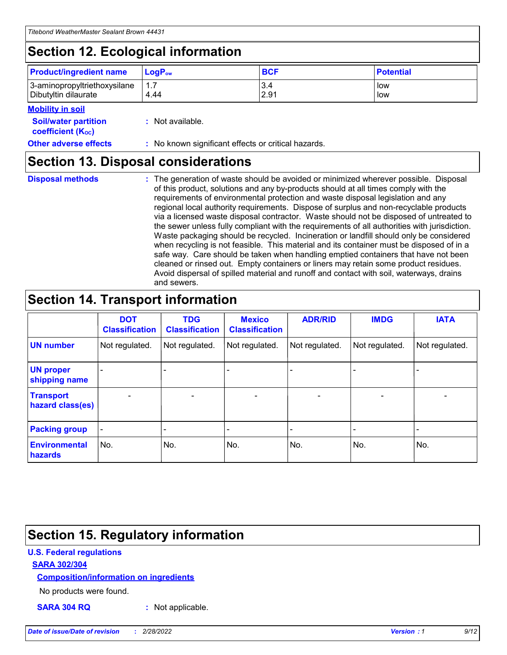## **Section 12. Ecological information**

| <b>Product/ingredient name</b> | $LoaPow$ | <b>BCF</b> | <b>Potential</b> |
|--------------------------------|----------|------------|------------------|
| 3-aminopropyltriethoxysilane   | 1.7      | 3.4        | low              |
| Dibutyltin dilaurate           | 4.44     | 2.91       | low              |

#### **Mobility in soil**

| <b>Soil/water partition</b><br>coefficient (K <sub>oc</sub> ) | : Not available.                                    |
|---------------------------------------------------------------|-----------------------------------------------------|
| <b>Other adverse effects</b>                                  | : No known significant effects or critical hazards. |

### **Section 13. Disposal considerations**

**Disposal methods :**

The generation of waste should be avoided or minimized wherever possible. Disposal of this product, solutions and any by-products should at all times comply with the requirements of environmental protection and waste disposal legislation and any regional local authority requirements. Dispose of surplus and non-recyclable products via a licensed waste disposal contractor. Waste should not be disposed of untreated to the sewer unless fully compliant with the requirements of all authorities with jurisdiction. Waste packaging should be recycled. Incineration or landfill should only be considered when recycling is not feasible. This material and its container must be disposed of in a safe way. Care should be taken when handling emptied containers that have not been cleaned or rinsed out. Empty containers or liners may retain some product residues. Avoid dispersal of spilled material and runoff and contact with soil, waterways, drains and sewers.

## **Section 14. Transport information**

|                                      | <b>DOT</b><br><b>Classification</b> | <b>TDG</b><br><b>Classification</b> | <b>Mexico</b><br><b>Classification</b> | <b>ADR/RID</b>           | <b>IMDG</b>              | <b>IATA</b>              |
|--------------------------------------|-------------------------------------|-------------------------------------|----------------------------------------|--------------------------|--------------------------|--------------------------|
| <b>UN number</b>                     | Not regulated.                      | Not regulated.                      | Not regulated.                         | Not regulated.           | Not regulated.           | Not regulated.           |
| <b>UN proper</b><br>shipping name    | $\qquad \qquad$                     |                                     |                                        |                          |                          |                          |
| <b>Transport</b><br>hazard class(es) | $\blacksquare$                      | $\blacksquare$                      | $\blacksquare$                         | $\overline{\phantom{a}}$ | $\blacksquare$           | $\blacksquare$           |
| <b>Packing group</b>                 | $\overline{\phantom{a}}$            | $\overline{\phantom{0}}$            | $\overline{\phantom{0}}$               | -                        | $\overline{\phantom{0}}$ | $\overline{\phantom{a}}$ |
| <b>Environmental</b><br>hazards      | No.                                 | No.                                 | No.                                    | No.                      | No.                      | No.                      |

## **Section 15. Regulatory information**

#### **U.S. Federal regulations**

#### **SARA 302/304**

#### **Composition/information on ingredients**

No products were found.

**SARA 304 RQ :** Not applicable.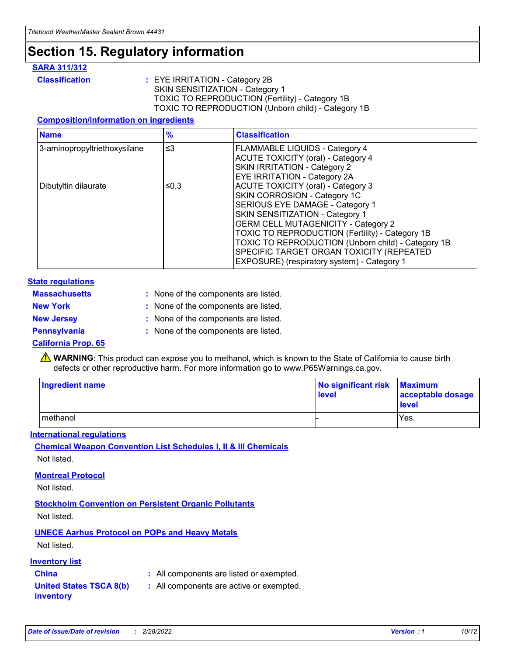## **Section 15. Regulatory information**

#### **SARA 311/312**

**Classification :** EYE IRRITATION - Category 2B SKIN SENSITIZATION - Category 1 TOXIC TO REPRODUCTION (Fertility) - Category 1B TOXIC TO REPRODUCTION (Unborn child) - Category 1B

#### **Composition/information on ingredients**

| <b>Name</b>                  | $\frac{9}{6}$ | <b>Classification</b>                                                                                            |
|------------------------------|---------------|------------------------------------------------------------------------------------------------------------------|
| 3-aminopropyltriethoxysilane | $\leq$ 3      | <b>FLAMMABLE LIQUIDS - Category 4</b><br><b>ACUTE TOXICITY (oral) - Category 4</b>                               |
|                              |               | SKIN IRRITATION - Category 2<br>EYE IRRITATION - Category 2A                                                     |
| Dibutyltin dilaurate         | ≤0.3          | ACUTE TOXICITY (oral) - Category 3<br>SKIN CORROSION - Category 1C                                               |
|                              |               | SERIOUS EYE DAMAGE - Category 1<br>SKIN SENSITIZATION - Category 1<br><b>GERM CELL MUTAGENICITY - Category 2</b> |
|                              |               | TOXIC TO REPRODUCTION (Fertility) - Category 1B<br>TOXIC TO REPRODUCTION (Unborn child) - Category 1B            |
|                              |               | SPECIFIC TARGET ORGAN TOXICITY (REPEATED<br>EXPOSURE) (respiratory system) - Category 1                          |

#### **State regulations**

| <b>Massachusetts</b> | : None of the components are listed. |
|----------------------|--------------------------------------|
| <b>New York</b>      | : None of the components are listed. |
| <b>New Jersey</b>    | : None of the components are listed. |
| <b>Pennsylvania</b>  | : None of the components are listed. |

#### **California Prop. 65**

**A** WARNING: This product can expose you to methanol, which is known to the State of California to cause birth defects or other reproductive harm. For more information go to www.P65Warnings.ca.gov.

| <b>Ingredient name</b> | No significant risk Maximum<br>level | acceptable dosage<br>level |
|------------------------|--------------------------------------|----------------------------|
| methanol               |                                      | Yes.                       |

#### **International regulations**

**Chemical Weapon Convention List Schedules I, II & III Chemicals** Not listed.

#### **Montreal Protocol**

Not listed.

**Stockholm Convention on Persistent Organic Pollutants**

Not listed.

### **UNECE Aarhus Protocol on POPs and Heavy Metals**

Not listed.

#### **Inventory list**

## **China :** All components are listed or exempted.

**United States TSCA 8(b) inventory :** All components are active or exempted.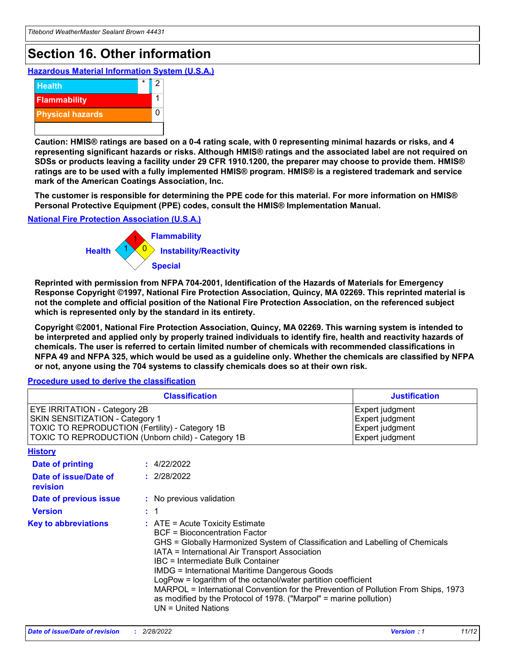## **Section 16. Other information**

**Hazardous Material Information System (U.S.A.)**



**Caution: HMIS® ratings are based on a 0-4 rating scale, with 0 representing minimal hazards or risks, and 4 representing significant hazards or risks. Although HMIS® ratings and the associated label are not required on SDSs or products leaving a facility under 29 CFR 1910.1200, the preparer may choose to provide them. HMIS® ratings are to be used with a fully implemented HMIS® program. HMIS® is a registered trademark and service mark of the American Coatings Association, Inc.**

**The customer is responsible for determining the PPE code for this material. For more information on HMIS® Personal Protective Equipment (PPE) codes, consult the HMIS® Implementation Manual.**

#### **National Fire Protection Association (U.S.A.)**



**Reprinted with permission from NFPA 704-2001, Identification of the Hazards of Materials for Emergency Response Copyright ©1997, National Fire Protection Association, Quincy, MA 02269. This reprinted material is not the complete and official position of the National Fire Protection Association, on the referenced subject which is represented only by the standard in its entirety.**

**Copyright ©2001, National Fire Protection Association, Quincy, MA 02269. This warning system is intended to be interpreted and applied only by properly trained individuals to identify fire, health and reactivity hazards of chemicals. The user is referred to certain limited number of chemicals with recommended classifications in NFPA 49 and NFPA 325, which would be used as a guideline only. Whether the chemicals are classified by NFPA or not, anyone using the 704 systems to classify chemicals does so at their own risk.**

#### **Procedure used to derive the classification**

|                                                                                                                    | <b>Classification</b><br><b>Justification</b>                                                                                                                                                                                                                                                                                                                                                                                                                                                                                                                 |  |
|--------------------------------------------------------------------------------------------------------------------|---------------------------------------------------------------------------------------------------------------------------------------------------------------------------------------------------------------------------------------------------------------------------------------------------------------------------------------------------------------------------------------------------------------------------------------------------------------------------------------------------------------------------------------------------------------|--|
| EYE IRRITATION - Category 2B<br>SKIN SENSITIZATION - Category 1<br>TOXIC TO REPRODUCTION (Fertility) - Category 1B | Expert judgment<br>Expert judgment<br>Expert judgment<br>TOXIC TO REPRODUCTION (Unborn child) - Category 1B<br>Expert judgment                                                                                                                                                                                                                                                                                                                                                                                                                                |  |
| <b>History</b>                                                                                                     |                                                                                                                                                                                                                                                                                                                                                                                                                                                                                                                                                               |  |
| Date of printing                                                                                                   | : 4/22/2022                                                                                                                                                                                                                                                                                                                                                                                                                                                                                                                                                   |  |
| Date of issue/Date of<br>revision                                                                                  | : 2/28/2022                                                                                                                                                                                                                                                                                                                                                                                                                                                                                                                                                   |  |
| Date of previous issue                                                                                             | : No previous validation                                                                                                                                                                                                                                                                                                                                                                                                                                                                                                                                      |  |
| <b>Version</b>                                                                                                     | : 1                                                                                                                                                                                                                                                                                                                                                                                                                                                                                                                                                           |  |
| <b>Key to abbreviations</b>                                                                                        | $:$ ATE = Acute Toxicity Estimate<br><b>BCF</b> = Bioconcentration Factor<br>GHS = Globally Harmonized System of Classification and Labelling of Chemicals<br>IATA = International Air Transport Association<br>IBC = Intermediate Bulk Container<br><b>IMDG = International Maritime Dangerous Goods</b><br>LogPow = logarithm of the octanol/water partition coefficient<br>MARPOL = International Convention for the Prevention of Pollution From Ships, 1973<br>as modified by the Protocol of 1978. ("Marpol" = marine pollution)<br>UN = United Nations |  |